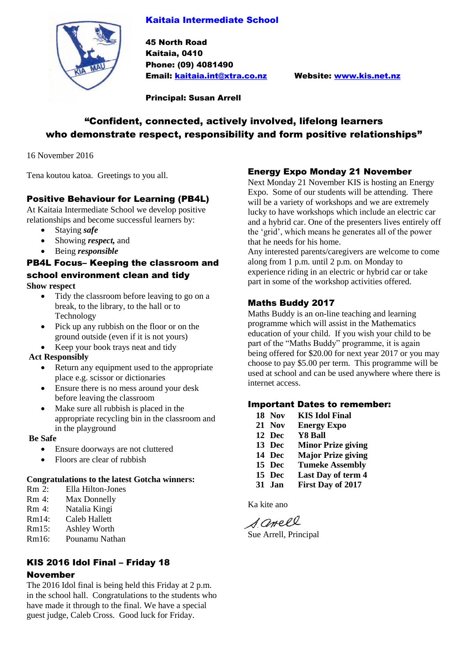## Kaitaia Intermediate School



45 North Road Kaitaia, 0410 Phone: (09) 4081490 Email: [kaitaia.int@xtra.co.nz](mailto:kaitaia.int@xtra.co.nz) Website: [www.kis.net.nz](http://www.kis.net.nz/)

Principal: Susan Arrell

# "Confident, connected, actively involved, lifelong learners who demonstrate respect, responsibility and form positive relationships"

16 November 2016

Tena koutou katoa. Greetings to you all.

## Positive Behaviour for Learning (PB4L)

At Kaitaia Intermediate School we develop positive relationships and become successful learners by:

- Staying *safe*
- Showing *respect,* and
- Being *responsible*

#### PB4L Focus– Keeping the classroom and school environment clean and tidy **Show respect**

- Tidy the classroom before leaving to go on a break, to the library, to the hall or to Technology
- Pick up any rubbish on the floor or on the ground outside (even if it is not yours)
- Keep your book trays neat and tidy

#### **Act Responsibly**

- Return any equipment used to the appropriate place e.g. scissor or dictionaries
- Ensure there is no mess around your desk before leaving the classroom
- Make sure all rubbish is placed in the appropriate recycling bin in the classroom and in the playground

#### **Be Safe**

- Ensure doorways are not cluttered
- Floors are clear of rubbish

#### **Congratulations to the latest Gotcha winners:**

- Rm 2: Ella Hilton-Jones
- Rm 4: Max Donnelly
- Rm 4: Natalia Kingi
- Rm14: Caleb Hallett
- Rm15: Ashley Worth
- Rm16: Pounamu Nathan

### KIS 2016 Idol Final – Friday 18 November

The 2016 Idol final is being held this Friday at 2 p.m. in the school hall. Congratulations to the students who have made it through to the final. We have a special guest judge, Caleb Cross. Good luck for Friday.

## Energy Expo Monday 21 November

Next Monday 21 November KIS is hosting an Energy Expo. Some of our students will be attending. There will be a variety of workshops and we are extremely lucky to have workshops which include an electric car and a hybrid car. One of the presenters lives entirely off the 'grid', which means he generates all of the power that he needs for his home.

Any interested parents/caregivers are welcome to come along from 1 p.m. until 2 p.m. on Monday to experience riding in an electric or hybrid car or take part in some of the workshop activities offered.

## Maths Buddy 2017

Maths Buddy is an on-line teaching and learning programme which will assist in the Mathematics education of your child. If you wish your child to be part of the "Maths Buddy" programme, it is again being offered for \$20.00 for next year 2017 or you may choose to pay \$5.00 per term. This programme will be used at school and can be used anywhere where there is internet access.

#### Important Dates to remember:

- **18 Nov KIS Idol Final**
- **21 Nov Energy Expo**
- **12 Dec Y8 Ball**
- **13 Dec Minor Prize giving**
- **14 Dec Major Prize giving**
- **15 Dec Tumeke Assembly**
- **15 Dec Last Day of term 4**
- **31 Jan First Day of 2017**

Ka kite ano

S. anell Sue Arrell, Principal